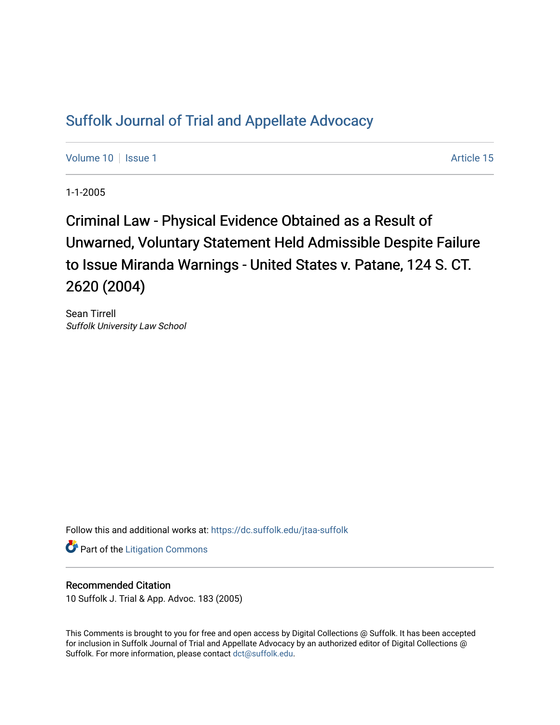# [Suffolk Journal of Trial and Appellate Advocacy](https://dc.suffolk.edu/jtaa-suffolk)

[Volume 10](https://dc.suffolk.edu/jtaa-suffolk/vol10) | [Issue 1](https://dc.suffolk.edu/jtaa-suffolk/vol10/iss1) Article 15

1-1-2005

Criminal Law - Physical Evidence Obtained as a Result of Unwarned, Voluntary Statement Held Admissible Despite Failure to Issue Miranda Warnings - United States v. Patane, 124 S. CT. 2620 (2004)

Sean Tirrell Suffolk University Law School

Follow this and additional works at: [https://dc.suffolk.edu/jtaa-suffolk](https://dc.suffolk.edu/jtaa-suffolk?utm_source=dc.suffolk.edu%2Fjtaa-suffolk%2Fvol10%2Fiss1%2F15&utm_medium=PDF&utm_campaign=PDFCoverPages) 

**Part of the [Litigation Commons](https://network.bepress.com/hgg/discipline/910?utm_source=dc.suffolk.edu%2Fjtaa-suffolk%2Fvol10%2Fiss1%2F15&utm_medium=PDF&utm_campaign=PDFCoverPages)** 

## Recommended Citation

10 Suffolk J. Trial & App. Advoc. 183 (2005)

This Comments is brought to you for free and open access by Digital Collections @ Suffolk. It has been accepted for inclusion in Suffolk Journal of Trial and Appellate Advocacy by an authorized editor of Digital Collections @ Suffolk. For more information, please contact [dct@suffolk.edu.](mailto:dct@suffolk.edu)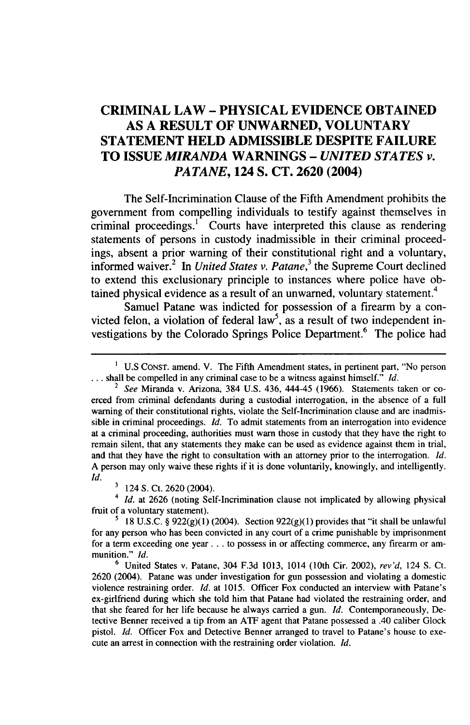## **CRIMINAL LAW - PHYSICAL EVIDENCE OBTAINED AS A RESULT OF UNWARNED, VOLUNTARY STATEMENT HELD ADMISSIBLE DESPITE FAILURE TO ISSUE** *MIRANDA* **WARNINGS -** *UNITED STATES v. PATANE,* **124 S. CT. 2620 (2004)**

The Self-Incrimination Clause of the Fifth Amendment prohibits the government from compelling individuals to testify against themselves in criminal proceedings.<sup>1</sup> Courts have interpreted this clause as rendering statements of persons in custody inadmissible in their criminal proceedings, absent a prior warning of their constitutional right and a voluntary, informed waiver.<sup>2</sup> In *United States v. Patane*,<sup>3</sup> the Supreme Court declined to extend this exclusionary principle to instances where police have obtained physical evidence as a result of an unwarned, voluntary statement.<sup>4</sup>

Samuel Patane was indicted for possession of a firearm by a convicted felon, a violation of federal law<sup>5</sup>, as a result of two independent investigations by the Colorado Springs Police Department.<sup>6</sup> The police had

*4 Id.* at 2626 (noting Self-Incrimination clause not implicated by allowing physical fruit of a voluntary statement).

**<sup>1</sup>** U.S CONST. amend. V. The Fifth Amendment states, in pertinent part, "No person **...** shall be compelled in any criminal case to be a witness against himself." *Id.*

<sup>2</sup> *See* Miranda v. Arizona, 384 U.S. 436, 444-45 (1966). Statements taken or coerced from criminal defendants during a custodial interrogation, in the absence of a full warning of their constitutional rights, violate the Self-Incrimination clause and are inadmissible in criminal proceedings. *Id.* To admit statements from an interrogation into evidence at a criminal proceeding, authorities must warn those in custody that they have the right to remain silent, that any statements they make can be used as evidence against them in trial, and that they have the right to consultation with an attorney prior to the interrogation. *Id.* A person may only waive these rights if it is done voluntarily, knowingly, and intelligently. Id.

**<sup>&#</sup>x27;** 124 **S.** Ct. 2620 (2004).

<sup>&</sup>lt;sup>5</sup> 18 U.S.C. §  $922(g)(1)$  (2004). Section  $922(g)(1)$  provides that "it shall be unlawful for any person who has been convicted in any court of a crime punishable by imprisonment for a term exceeding one year **...** to possess in or affecting commerce, any firearm or ammunition." *Id.*

**<sup>6</sup>** United States v. Patane, 304 F.3d 1013, 1014 (10th Cir. 2002), *rev'd,* 124 **S.** Ct. 2620 (2004). Patane was under investigation for gun possession and violating a domestic violence restraining order. *Id.* at 1015. Officer Fox conducted an interview with Patane's ex-girlfriend during which she told him that Patane had violated the restraining order, and that she feared for her life because he always carried a gun. *Id.* Contemporaneously, Detective Benner received a tip from an ATF agent that Patane possessed a .40 caliber Glock pistol. *Id.* Officer Fox and Detective Benner arranged to travel to Patane's house to execute an arrest in connection with the restraining order violation. *Id.*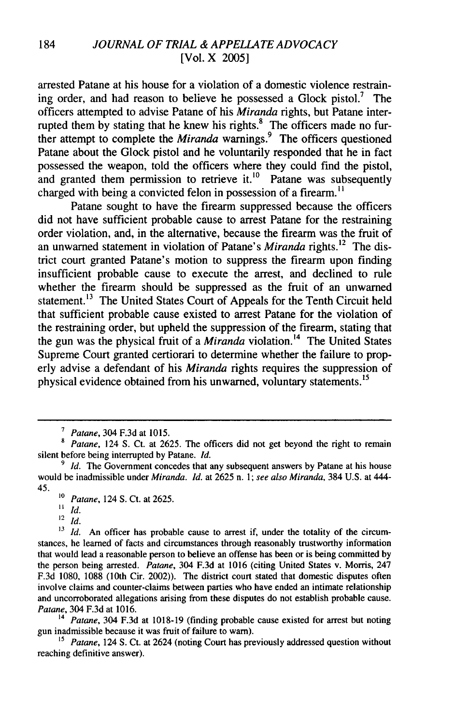arrested Patane at his house for a violation of a domestic violence restraining order, and had reason to believe he possessed a Glock pistol.<sup>7</sup> The officers attempted to advise Patane of his *Miranda* rights, but Patane interrupted them by stating that he knew his rights.<sup>8</sup> The officers made no further attempt to complete the *Miranda* warnings.<sup>9</sup> The officers questioned Patane about the Glock pistol and he voluntarily responded that he in fact possessed the weapon, told the officers where they could find the pistol, and granted them permission to retrieve it.<sup>10</sup> Patane was subsequently charged with being a convicted felon in possession of a firearm.<sup>11</sup>

Patane sought to have the firearm suppressed because the officers did not have sufficient probable cause to arrest Patane for the restraining order violation, and, in the alternative, because the firearm was the fruit of an unwarned statement in violation of Patane's *Miranda* rights.<sup>12</sup> The district court granted Patane's motion to suppress the firearm upon finding insufficient probable cause to execute the arrest, and declined to rule whether the firearm should be suppressed as the fruit of an unwarned statement.<sup>13</sup> The United States Court of Appeals for the Tenth Circuit held that sufficient probable cause existed to arrest Patane for the violation of the restraining order, but upheld the suppression of the firearm, stating that the gun was the physical fruit of a *Miranda* violation.<sup>14</sup> The United States Supreme Court granted certiorari to determine whether the failure to properly advise a defendant of his *Miranda* rights requires the suppression of physical evidence obtained from his unwarned, voluntary statements.<sup>15</sup>

<sup>14</sup>*Patane,* 304 F.3d at 1018-19 (finding probable cause existed for arrest but noting gun inadmissible because it was fruit of failure to warn).

<sup>15</sup> Patane, 124 S. Ct. at 2624 (noting Court has previously addressed question without reaching definitive answer).

*<sup>7</sup> Patane,* 304 F.3d at 1015.

*<sup>8</sup> Patane,* 124 S. Ct. at 2625. The officers did not get beyond the right to remain silent before being interrupted by Patane. *Id.*

<sup>&</sup>lt;sup>9</sup> *Id.* The Government concedes that any subsequent answers by Patane at his house would be inadmissible under *Miranda. Id.* at 2625 n. 1; *see also Miranda,* 384 U.S. at 444- 45.

**<sup>10</sup>** *Patane,* 124 S. Ct. at 2625.

**<sup>11</sup>** *Id.*

<sup>12</sup> *Id.*

<sup>&</sup>lt;sup>13</sup> Id. An officer has probable cause to arrest if, under the totality of the circumstances, he learned of facts and circumstances through reasonably trustworthy information that would lead a reasonable person to believe an offense has been or is being committed by the person being arrested. *Patane,* 304 F.3d at 1016 (citing United States v. Morris, 247 F.3d 1080, 1088 (10th Cir. 2002)). The district court stated that domestic disputes often involve claims and counter-claims between parties who have ended an intimate relationship and uncorroborated allegations arising from these disputes do not establish probable cause. *Patane,* 304 F.3d at 1016.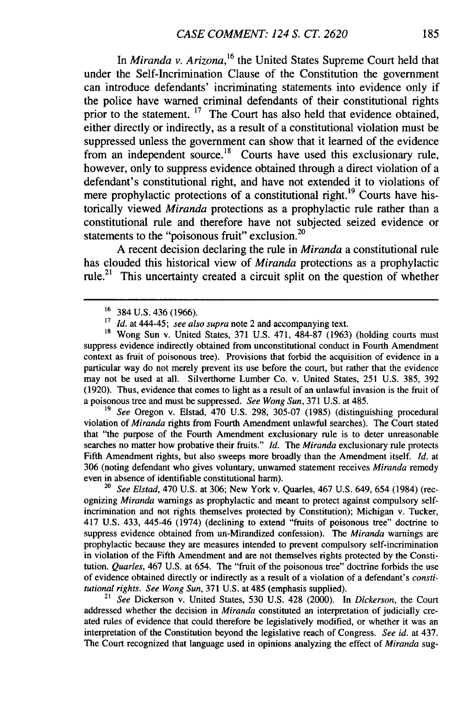In *Miranda v. Arizona*,<sup>16</sup> the United States Supreme Court held that under the Self-Incrimination Clause of the Constitution the government can introduce defendants' incriminating statements into evidence only if the police have warned criminal defendants of their constitutional rights prior to the statement. **17** The Court has also held that evidence obtained, either directly or indirectly, as a result of a constitutional violation must be suppressed unless the government can show that it learned of the evidence from an independent source.<sup>18</sup> Courts have used this exclusionary rule, however, only to suppress evidence obtained through a direct violation of a defendant's constitutional right, and have not extended it to violations of mere prophylactic protections of a constitutional right.<sup>19</sup> Courts have historically viewed *Miranda* protections as a prophylactic rule rather than a constitutional rule and therefore have not subjected seized evidence or statements to the "poisonous fruit" exclusion.<sup>20</sup>

A recent decision declaring the rule in *Miranda* a constitutional rule has clouded this historical view of *Miranda* protections as a prophylactic rule.<sup>21</sup> This uncertainty created a circuit split on the question of whether

*19 See* Oregon v. Elstad, 470 U.S. 298, 305-07 (1985) (distinguishing procedural violation of *Miranda* rights from Fourth Amendment unlawful searches). The Court stated that "the purpose of the Fourth Amendment exclusionary rule is to deter unreasonable searches no matter how probative their fruits." *Id. The Miranda* exclusionary rule protects Fifth Amendment rights, but also sweeps more broadly than the Amendment itself. *Id.* at 306 (noting defendant who gives voluntary, unwarned statement receives *Miranda* remedy even in absence of identifiable constitutional harm).

*20 See Elstad,* 470 U.S. at 306; New York v. Quarles, 467 U.S. 649, 654 (1984) (recognizing *Miranda* warnings as prophylactic and meant to protect against compulsory selfincrimination and not rights themselves protected by Constitution); Michigan v. Tucker, 417 U.S. 433, 445-46 (1974) (declining to extend "fruits of poisonous tree" doctrine to suppress evidence obtained from un-Mirandized confession). The *Miranda* warnings are prophylactic because they are measures intended to prevent compulsory self-incrimination in violation of the Fifth Amendment and are not themselves rights protected by the Constitution. *Quarles,* 467 U.S. at 654. The "fruit of the poisonous tree" doctrine forbids the use of evidence obtained directly or indirectly as a result of a violation of a defendant's *constitutional rights. See Wong Sun,* 371 U.S. at 485 (emphasis supplied).

<sup>21</sup>*See* Dickerson v. United States, 530 U.S. 428 (2000). In Dickerson, the Court addressed whether the decision in Miranda constituted an interpretation of judicially created rules of evidence that could therefore be legislatively modified, or whether it was an interpretation of the Constitution beyond the legislative reach of Congress. *See id.* at 437. The Court recognized that language used in opinions analyzing the effect of *Miranda* sug-

<sup>&</sup>lt;sup>16</sup> 384 U.S. 436 (1966).

**<sup>17</sup>** *Id.* at 444-45; see also supra note 2 and accompanying text.

<sup>&</sup>lt;sup>18</sup> Wong Sun v. United States, 371 U.S. 471, 484-87 (1963) (holding courts must suppress evidence indirectly obtained from unconstitutional conduct in Fourth Amendment context as fruit of poisonous tree). Provisions that forbid the acquisition of evidence in a particular way do not merely prevent its use before the court, but rather that the evidence may not be used at all. Silverthorne Lumber Co. v. United States, 251 U.S. 385, 392 (1920). Thus, evidence that comes to light as a result of an unlawful invasion is the fruit of a poisonous tree and must be suppressed. *See Wong Sun,* 371 U.S. at 485.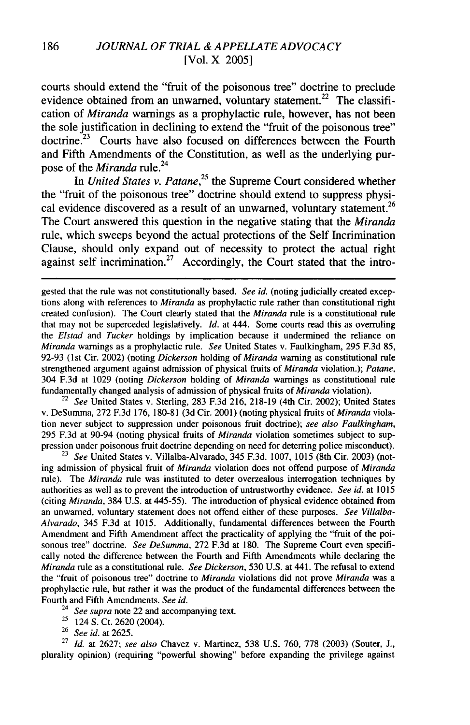### 186 *JOURNAL OF TRIAL & APPELLATE ADVOCACY* [Vol. X 2005]

courts should extend the "fruit of the poisonous tree" doctrine to preclude evidence obtained from an unwarned, voluntary statement.<sup>22</sup> The classification of *Miranda* warnings as a prophylactic rule, however, has not been the sole justification in declining to extend the "fruit of the poisonous tree" doctrine.<sup>23</sup> Courts have also focused on differences between the Fourth and Fifth Amendments of the Constitution, as well as the underlying purpose of the *Miranda* rule.<sup>24</sup>

In *United States v. Patane,<sup>25</sup>*the Supreme Court considered whether the "fruit of the poisonous tree" doctrine should extend to suppress physical evidence discovered as a result of an unwarned, voluntary statement.<sup>26</sup> The Court answered this question in the negative stating that the *Miranda* rule, which sweeps beyond the actual protections of the Self Incrimination Clause, should only expand out of necessity to protect the actual right against self incrimination.<sup>27</sup> Accordingly, the Court stated that the intro-

gested that the rule was not constitutionally based. *See id.* (noting judicially created exceptions along with references to *Miranda* as prophylactic rule rather than constitutional right created confusion). The Court clearly stated that the *Miranda* rule is a constitutional rule that may not be superceded legislatively. *Id.* at 444. Some courts read this as overruling the *Elstad and Tucker* holdings by implication because it undermined the reliance on *Miranda* warnings as a prophylactic rule. *See* United States v. Faulkingham, 295 F.3d 85, 92-93 (1 st Cir. 2002) (noting *Dickerson* holding of *Miranda* warning as constitutional rule strengthened argument against admission of physical fruits of *Miranda* violation.); *Patane,* 304 F.3d at 1029 (noting *Dickerson* holding of *Miranda* warnings as constitutional rule fundamentally changed analysis of admission of physical fruits of *Miranda* violation).

22 *See* United States v. Sterling, 283 F.3d 216, 218-19 (4th Cir. 2002); United States v. DeSumma, 272 F.3d 176, 180-81 (3d Cir. 2001) (noting physical fruits of *Miranda* violation never subject to suppression under poisonous fruit doctrine); *see also Faulkingham,* 295 F.3d at 90-94 (noting physical fruits of *Miranda* violation sometimes subject to suppression under poisonous fruit doctrine depending on need for deterring police misconduct).

23 *See* United States v. Villalba-Alvarado, 345 F.3d. 1007, 1015 (8th Cir. 2003) (noting admission of physical fruit of *Miranda* violation does not offend purpose of *Miranda* rule). The *Miranda* rule was instituted to deter overzealous interrogation techniques by authorities as well as to prevent the introduction of untrustworthy evidence. *See id.* at 1015 (citing *Miranda,* 384 U.S. at 445-55). The introduction of physical evidence obtained from an unwarned, voluntary statement does not offend either of these purposes. *See Villalba-Alvarado,* 345 F.3d at 1015. Additionally, fundamental differences between the Fourth Amendment and Fifth Amendment affect the practicality of applying the "fruit of the poisonous tree" doctrine. *See DeSumma,* 272 F.3d at 180. The Supreme Court even specifically noted the difference between the Fourth and Fifth Amendments while declaring the *Miranda* rule as a constitutional rule. *See Dickerson,* 530 U.S. at 441. The refusal to extend the "fruit of poisonous tree" doctrine to *Miranda* violations did not prove *Miranda* was a prophylactic rule, but rather it was the product of the fundamental differences between the Fourth and Fifth Amendments. *See id.* <sup>24</sup> *See supra* note 22 and accompanying text.

- <sup>25</sup> 124 S. Ct. 2620 (2004).
- *<sup>26</sup>See id.* at 2625.

27 *Id.* at 2627; *see also* Chavez v. Martinez, 538 U.S. 760, 778 (2003) (Souter, J., plurality opinion) (requiring "powerful showing" before expanding the privilege against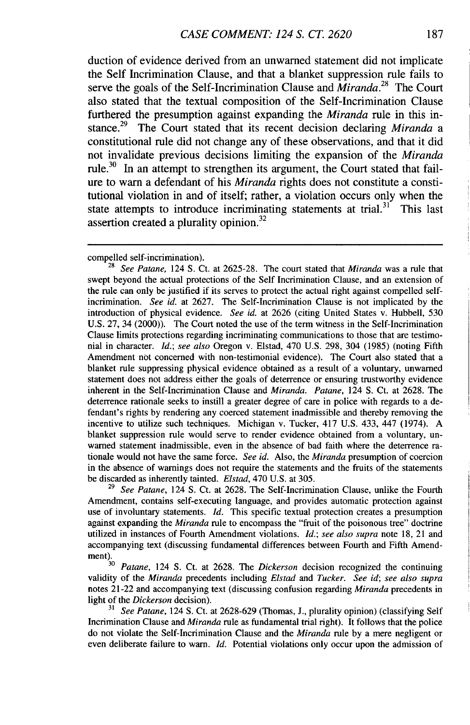duction of evidence derived from an unwarned statement did not implicate the Self Incrimination Clause, and that a blanket suppression rule fails to serve the goals of the Self-Incrimination Clause and  $\overline{M}$ *iranda*.<sup>28</sup> The Court also stated that the textual composition of the Self-Incrimination Clause furthered the presumption against expanding the *Miranda* rule in this instance.29 The Court stated that its recent decision declaring *Miranda a* constitutional rule did not change any of these observations, and that it did not invalidate previous decisions limiting the expansion of the *Miranda* rule.<sup>30</sup> In an attempt to strengthen its argument, the Court stated that failure to warn a defendant of his *Miranda* rights does not constitute a constitutional violation in and of itself; rather, a violation occurs only when the state attempts to introduce incriminating statements at trial. $31^7$  This last assertion created a plurality opinion.<sup>32</sup>

<sup>29</sup> See Patane, 124 S. Ct. at 2628. The Self-Incrimination Clause, unlike the Fourth Amendment, contains self-executing language, and provides automatic protection against use of involuntary statements. *Id.* This specific textual protection creates a presumption against expanding the *Miranda* rule to encompass the "fruit of the poisonous tree" doctrine utilized in instances of Fourth Amendment violations. *Id.; see also supra* note 18, 21 and accompanying text (discussing fundamental differences between Fourth and Fifth Amend- $\frac{\text{m}}{\text{m}}$ .

<sup>30</sup>*Patane,* 124 **S.** Ct. at 2628. The *Dickerson* decision recognized the continuing validity of the *Miranda* precedents including *Elstad and Tucker. See id; see also supra* notes 21-22 and accompanying text (discussing confusion regarding *Miranda* precedents in light of the *Dickerson* decision).

*<sup>31</sup>See Patane,* 124 **S.** Ct. at 2628-629 (Thomas, J., plurality opinion) (classifying Self Incrimination Clause and *Miranda* rule as fundamental trial right). It follows that the police do not violate the Self-Incrimination Clause and the *Miranda* rule by a mere negligent or even deliberate failure to warn. *Id.* Potential violations only occur upon the admission of

compelled self-incrimination).

<sup>28</sup>*See Patane,* 124 **S.** Ct. at 2625-28. The court stated that *Miranda* was a rule that swept beyond the actual protections of the Self Incrimination Clause, and an extension of the rule can only be justified if its serves to protect the actual right against compelled selfincrimination. *See id.* at 2627. The Self-Incrimination Clause is not implicated by the introduction of physical evidence. *See id.* at 2626 (citing United States v. Hubbell, 530 U.S. 27, 34 (2000)). The Court noted the use of the term witness in the Self-Incrimination Clause limits protections regarding incriminating communications to those that are testimonial in character. *Id.; see also* Oregon v. Elstad, 470 U.S. 298, 304 (1985) (noting Fifth Amendment not concerned with non-testimonial evidence). The Court also stated that a blanket rule suppressing physical evidence obtained as a result of a voluntary, unwarned statement does not address either the goals of deterrence or ensuring trustworthy evidence inherent in the Self-Incrimination Clause and *Miranda. Patane,* 124 **S.** Ct. at 2628. The deterrence rationale seeks to instill a greater degree of care in police with regards to a defendant's rights by rendering any coerced statement inadmissible and thereby removing the incentive to utilize such techniques. Michigan v. Tucker, 417 U.S. 433, 447 (1974). A blanket suppression rule would serve to render evidence obtained from a voluntary, unwarned statement inadmissible, even in the absence of bad faith where the deterrence rationale would not have the same force. *See id.* Also, the *Miranda* presumption of coercion in the absence of warnings does not require the statements and the fruits of the statements be discarded as inherently tainted. *Elstad,* 470 U.S. at 305.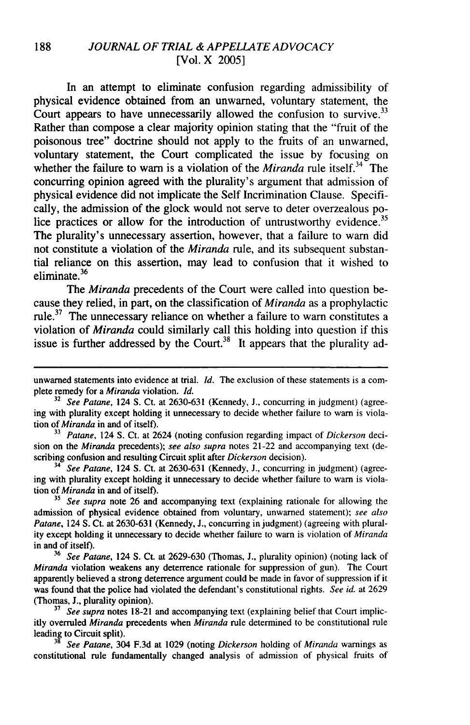#### 188 *JOURNAL OF TRIAL &APPELLATE ADVOCACY* [Vol. X 2005]

In an attempt to eliminate confusion regarding admissibility of physical evidence obtained from an unwarned, voluntary statement, the Court appears to have unnecessarily allowed the confusion to survive.<sup>33</sup> Rather than compose a clear majority opinion stating that the "fruit of the poisonous tree" doctrine should not apply to the fruits of an unwarned, voluntary statement, the Court complicated the issue by focusing on whether the failure to warn is a violation of the *Miranda* rule itself.<sup>34</sup> The concurring opinion agreed with the plurality's argument that admission of physical evidence did not implicate the Self Incrimination Clause. Specifically, the admission of the glock would not serve to deter overzealous police practices or allow for the introduction of untrustworthy evidence.<sup>35</sup> The plurality's unnecessary assertion, however, that a failure to warn did not constitute a violation of the *Miranda* rule, and its subsequent substantial reliance on this assertion, may lead to confusion that it wished to eliminate.<sup>36</sup>

The *Miranda* precedents of the Court were called into question because they relied, in part, on the classification of *Miranda* as a prophylactic rule.<sup>37</sup> The unnecessary reliance on whether a failure to warn constitutes a violation of *Miranda* could similarly call this holding into question if this issue is further addressed by the Court.<sup>38</sup> It appears that the plurality ad-

**33** *Patane,* 124 S. Ct. at 2624 (noting confusion regarding impact of *Dickerson* decision on the *Miranda* precedents); *see also supra* notes 21-22 and accompanying text (describing confusion and resulting Circuit split after *Dickerson* decision).

34 *See Patane,* 124 S. Ct. at 2630-631 (Kennedy, J., concurring in judgment) (agreeing with plurality except holding it unnecessary to decide whether failure to warn is violation of *Miranda* in and of itself).

**<sup>35</sup>***See supra* note 26 and accompanying text (explaining rationale for allowing the admission of physical evidence obtained from voluntary, unwarned statement); *see also* Patane, 124 S. Ct. at 2630-631 (Kennedy, J., concurring in judgment) (agreeing with plurality except holding it unnecessary to decide whether failure to warn is violation of *Miranda* in and of itself).

**<sup>36</sup>***See Patane,* 124 S. Ct. at 2629-630 (Thomas, J., plurality opinion) (noting lack of *Miranda* violation weakens any deterrence rationale for suppression of gun). The Court apparently believed a strong deterrence argument could be made in favor of suppression if it was found that the police had violated the defendant's constitutional rights. *See id.* at 2629 (Thomas, J., plurality opinion).

**37** *See supra* notes 18-21 and accompanying text (explaining belief that Court implicitly overruled *Miranda* precedents when *Miranda* rule determined to be constitutional rule leading to Circuit split).

**<sup>38</sup>***See Patane,* 304 F.3d at 1029 (noting *Dickerson* holding of *Miranda* warnings as constitutional rule fundamentally changed analysis of admission of physical fruits of

unwarned statements into evidence at trial. *Id.* The exclusion of these statements is a complete remedy for a *Miranda* violation. *Id.*

**<sup>32</sup>** *See Patane,* 124 S. Ct. at 2630-631 (Kennedy, **J.,** concurring in judgment) (agreeing with plurality except holding it unnecessary to decide whether failure to warn is violation of *Miranda* in and of itself).